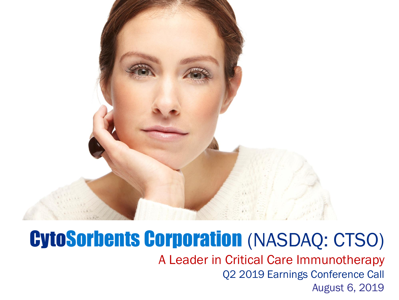

#### CytoSorbents Corporation (NASDAQ: CTSO)

A Leader in Critical Care Immunotherapy Q2 2019 Earnings Conference Call August 6, 2019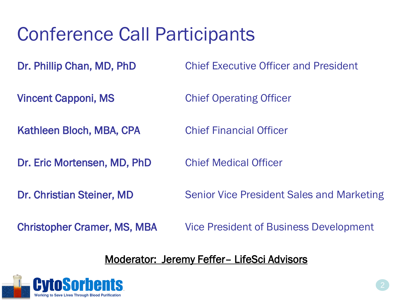#### Conference Call Participants

Dr. Phillip Chan, MD, PhD Chief Executive Officer and President

- **Vincent Capponi, MS** Chief Operating Officer
- Kathleen Bloch, MBA, CPA Chief Financial Officer
- Dr. Eric Mortensen, MD, PhD Chief Medical Officer
- 

- 
- Dr. Christian Steiner, MD Senior Vice President Sales and Marketing
- 
- Christopher Cramer, MS, MBA Vice President of Business Development

#### Moderator: Jeremy Feffer– LifeSci Advisors

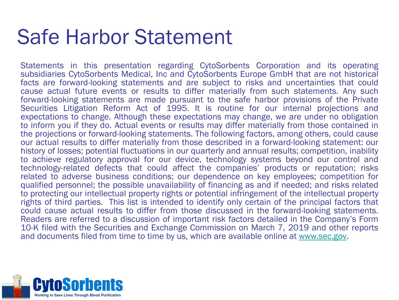#### Safe Harbor Statement

Statements in this presentation regarding CytoSorbents Corporation and its operating subsidiaries CytoSorbents Medical, Inc and CytoSorbents Europe GmbH that are not historical facts are forward-looking statements and are subject to risks and uncertainties that could cause actual future events or results to differ materially from such statements. Any such forward-looking statements are made pursuant to the safe harbor provisions of the Private Securities Litigation Reform Act of 1995. It is routine for our internal projections and expectations to change. Although these expectations may change, we are under no obligation to inform you if they do. Actual events or results may differ materially from those contained in the projections or forward-looking statements. The following factors, among others, could cause our actual results to differ materially from those described in a forward-looking statement: our history of losses; potential fluctuations in our quarterly and annual results; competition, inability to achieve regulatory approval for our device, technology systems beyond our control and technology-related defects that could affect the companies' products or reputation; risks related to adverse business conditions; our dependence on key employees; competition for qualified personnel; the possible unavailability of financing as and if needed; and risks related to protecting our intellectual property rights or potential infringement of the intellectual property rights of third parties. This list is intended to identify only certain of the principal factors that could cause actual results to differ from those discussed in the forward-looking statements. Readers are referred to a discussion of important risk factors detailed in the Company's Form 10-K filed with the Securities and Exchange Commission on March 7, 2019 and other reports and documents filed from time to time by us, which are available online at [www.sec.gov.](http://www.sec.gov/)

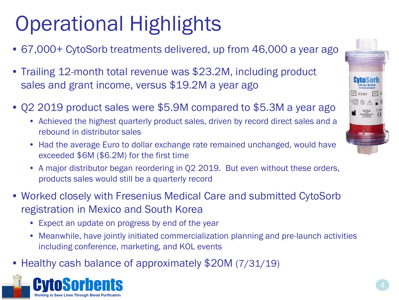# Operational Highlights

- 67,000+ CytoSorb treatments delivered, up from 46,000 a year ago
- Trailing 12-month total revenue was \$23.2M, including product sales and grant income, versus \$19.2M a year ago
- Q2 2019 product sales were \$5.9M compared to \$5.3M a year ago
	- Achieved the highest quarterly product sales, driven by record direct sales and a rebound in distributor sales
	- Had the average Euro to dollar exchange rate remained unchanged, would have exceeded \$6M (\$6.2M) for the first time
	- A major distributor began reordering in Q2 2019. But even without these orders, products sales would still be a quarterly record
- Worked closely with Fresenius Medical Care and submitted CytoSorb registration in Mexico and South Korea
	- Expect an update on progress by end of the year
	- Meanwhile, have jointly initiated commercialization planning and pre-launch activities including conference, marketing, and KOL events
- Healthy cash balance of approximately \$20M (7/31/19)



 $071411$  SN Q A X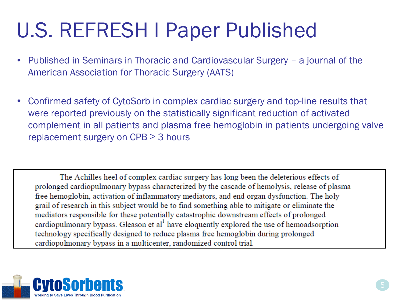# U.S. REFRESH I Paper Published

- Published in Seminars in Thoracic and Cardiovascular Surgery a journal of the American Association for Thoracic Surgery (AATS)
- Confirmed safety of CytoSorb in complex cardiac surgery and top-line results that were reported previously on the statistically significant reduction of activated complement in all patients and plasma free hemoglobin in patients undergoing valve replacement surgery on  $CPB \geq 3$  hours

The Achilles heel of complex cardiac surgery has long been the deleterious effects of prolonged cardiopulmonary bypass characterized by the cascade of hemolysis, release of plasma free hemoglobin, activation of inflammatory mediators, and end organ dysfunction. The holy grail of research in this subject would be to find something able to mitigate or eliminate the mediators responsible for these potentially catastrophic downstream effects of prolonged cardiopulmonary bypass. Gleason et al<sup>1</sup> have eloquently explored the use of hemoadsorption technology specifically designed to reduce plasma free hemoglobin during prolonged cardiopulmonary bypass in a multicenter, randomized control trial.

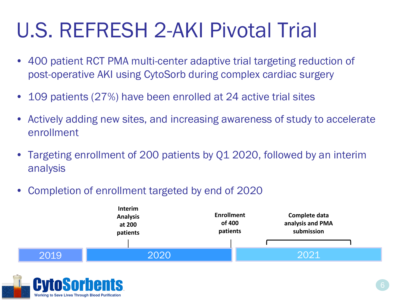# U.S. REFRESH 2-AKI Pivotal Trial

- 400 patient RCT PMA multi-center adaptive trial targeting reduction of post-operative AKI using CytoSorb during complex cardiac surgery
- 109 patients (27%) have been enrolled at 24 active trial sites
- Actively adding new sites, and increasing awareness of study to accelerate enrollment
- Targeting enrollment of 200 patients by Q1 2020, followed by an interim analysis
- Completion of enrollment targeted by end of 2020



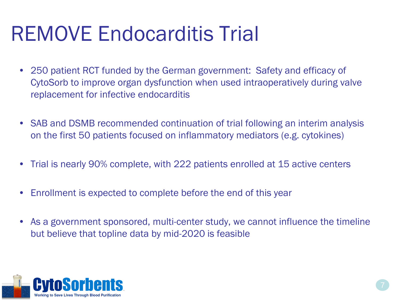# REMOVE Endocarditis Trial

- 250 patient RCT funded by the German government: Safety and efficacy of CytoSorb to improve organ dysfunction when used intraoperatively during valve replacement for infective endocarditis
- SAB and DSMB recommended continuation of trial following an interim analysis on the first 50 patients focused on inflammatory mediators (e.g. cytokines)
- Trial is nearly 90% complete, with 222 patients enrolled at 15 active centers
- Enrollment is expected to complete before the end of this year
- As a government sponsored, multi-center study, we cannot influence the timeline but believe that topline data by mid-2020 is feasible

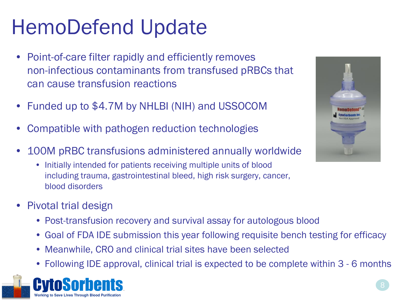# HemoDefend Update

- Point-of-care filter rapidly and efficiently removes non-infectious contaminants from transfused pRBCs that can cause transfusion reactions
- Funded up to \$4.7M by NHLBI (NIH) and USSOCOM
- Compatible with pathogen reduction technologies
- 100M pRBC transfusions administered annually worldwide
	- Initially intended for patients receiving multiple units of blood including trauma, gastrointestinal bleed, high risk surgery, cancer, blood disorders
- Pivotal trial design
	- Post-transfusion recovery and survival assay for autologous blood
	- Goal of FDA IDE submission this year following requisite bench testing for efficacy
	- Meanwhile, CRO and clinical trial sites have been selected
	- Following IDE approval, clinical trial is expected to be complete within 3 6 months



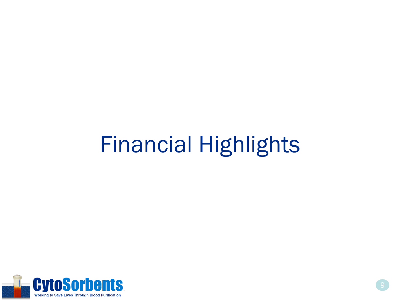# Financial Highlights

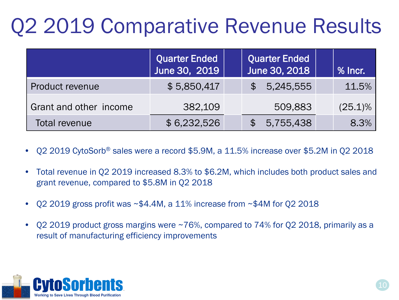# Q2 2019 Comparative Revenue Results

|                        | Quarter Ended<br>June 30, 2019 | Quarter Ended<br>June 30, 2018 | $%$ Incr.  |
|------------------------|--------------------------------|--------------------------------|------------|
| <b>Product revenue</b> | \$5,850,417                    | 5,245,555                      | 11.5%      |
| Grant and other income | 382,109                        | 509,883                        | $(25.1)\%$ |
| Total revenue          | \$6,232,526                    | 5,755,438                      | 8.3%       |

- Q2 2019 CytoSorb® sales were a record \$5.9M, a 11.5% increase over \$5.2M in Q2 2018
- Total revenue in Q2 2019 increased 8.3% to \$6.2M, which includes both product sales and grant revenue, compared to \$5.8M in Q2 2018
- Q2 2019 gross profit was ~\$4.4M, a 11% increase from ~\$4M for Q2 2018
- Q2 2019 product gross margins were  $\sim$  76%, compared to 74% for Q2 2018, primarily as a result of manufacturing efficiency improvements

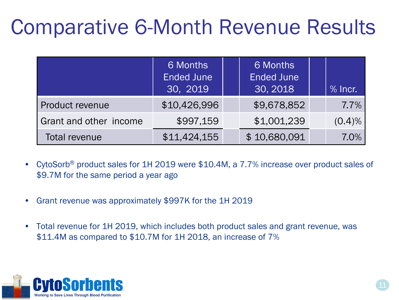# Comparative 6-Month Revenue Results

|                        | 6 Months<br><b>Ended June</b><br>30, 2019 | 6 Months<br><b>Ended June</b><br>30, 2018 | $%$ lncr. |
|------------------------|-------------------------------------------|-------------------------------------------|-----------|
| Product revenue        | \$10,426,996                              | \$9,678,852                               | 7.7%      |
| Grant and other income | \$997,159                                 | \$1,001,239                               | (0.4)%    |
| <b>Total revenue</b>   | \$11,424,155                              | \$10,680,091                              | 7.0%      |

- CytoSorb<sup>®</sup> product sales for 1H 2019 were \$10.4M, a 7.7% increase over product sales of \$9.7M for the same period a year ago
- Grant revenue was approximately \$997K for the 1H 2019
- Total revenue for 1H 2019, which includes both product sales and grant revenue, was \$11.4M as compared to \$10.7M for 1H 2018, an increase of 7%

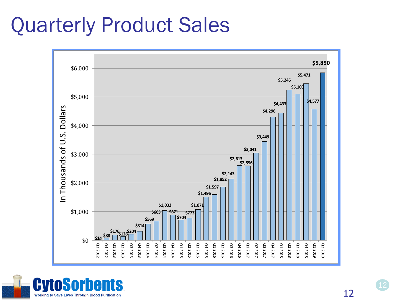### Quarterly Product Sales



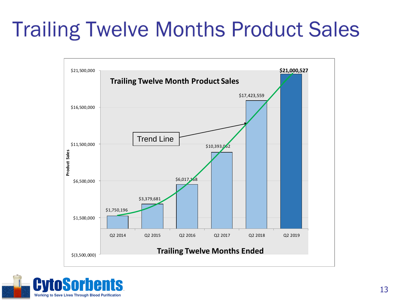# **Trailing Twelve Months Product Sales**



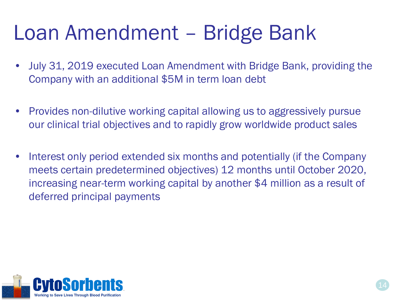### Loan Amendment – Bridge Bank

- July 31, 2019 executed Loan Amendment with Bridge Bank, providing the Company with an additional \$5M in term loan debt
- Provides non-dilutive working capital allowing us to aggressively pursue our clinical trial objectives and to rapidly grow worldwide product sales
- Interest only period extended six months and potentially (if the Company meets certain predetermined objectives) 12 months until October 2020, increasing near-term working capital by another \$4 million as a result of deferred principal payments

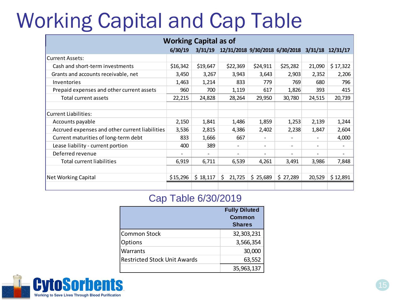## Working Capital and Cap Table

| <b>Working Capital as of</b>                   |          |          |                                                 |                          |                          |        |                              |
|------------------------------------------------|----------|----------|-------------------------------------------------|--------------------------|--------------------------|--------|------------------------------|
|                                                | 6/30/19  | 3/31/19  | 12/31/2018 9/30/2018 6/30/2018 3/31/18 12/31/17 |                          |                          |        |                              |
| <b>Current Assets:</b>                         |          |          |                                                 |                          |                          |        |                              |
| Cash and short-term investments                | \$16,342 | \$19,647 | \$22,369                                        | \$24,911                 | \$25,282                 | 21,090 | \$17,322                     |
| Grants and accounts receivable, net            | 3,450    | 3,267    | 3,943                                           | 3,643                    | 2,903                    | 2,352  | 2,206                        |
| Inventories                                    | 1,463    | 1,214    | 833                                             | 779                      | 769                      | 680    | 796                          |
| Prepaid expenses and other current assets      | 960      | 700      | 1,119                                           | 617                      | 1,826                    | 393    | 415                          |
| Total current assets                           | 22,215   | 24,828   | 28,264                                          | 29,950                   | 30,780                   | 24,515 | 20,739                       |
|                                                |          |          |                                                 |                          |                          |        |                              |
| <b>Current Liabilities:</b>                    |          |          |                                                 |                          |                          |        |                              |
| Accounts payable                               | 2,150    | 1,841    | 1,486                                           | 1,859                    | 1,253                    | 2,139  | 1,244                        |
| Accrued expenses and other current liabilities | 3,536    | 2,815    | 4,386                                           | 2,402                    | 2,238                    | 1,847  | 2,604                        |
| Current maturities of long-term debt           | 833      | 1,666    | 667                                             | $\overline{\phantom{0}}$ |                          |        | 4,000                        |
| Lease liability - current portion              | 400      | 389      | Ξ.                                              | -                        | $\overline{\phantom{a}}$ | Ξ.     | $\qquad \qquad \blacksquare$ |
| Deferred revenue                               |          |          |                                                 |                          |                          | ۰      |                              |
| <b>Total current liabilities</b>               | 6,919    | 6,711    | 6,539                                           | 4,261                    | 3,491                    | 3,986  | 7,848                        |
|                                                |          |          |                                                 |                          |                          |        |                              |
| Net Working Capital                            | \$15,296 | \$18,117 | \$.<br>21,725                                   | \$25,689                 | \$27,289                 | 20,529 | \$12,891                     |
|                                                |          |          |                                                 |                          |                          |        |                              |

#### Cap Table 6/30/2019

|                                     | <b>Fully Diluted</b><br><b>Common</b><br><b>Shares</b> |
|-------------------------------------|--------------------------------------------------------|
| Common Stock                        | 32,303,231                                             |
| <b>Options</b>                      | 3,566,354                                              |
| <b>Warrants</b>                     | 30,000                                                 |
| <b>Restricted Stock Unit Awards</b> | 63,552                                                 |
|                                     | 35,963,137                                             |

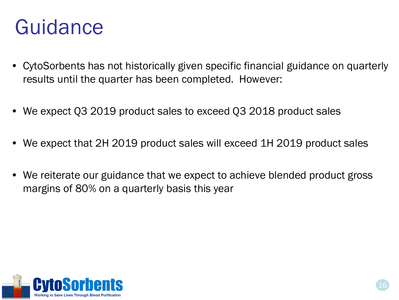### Guidance

- CytoSorbents has not historically given specific financial guidance on quarterly results until the quarter has been completed. However:
- We expect Q3 2019 product sales to exceed Q3 2018 product sales
- We expect that 2H 2019 product sales will exceed 1H 2019 product sales
- We reiterate our guidance that we expect to achieve blended product gross margins of 80% on a quarterly basis this year